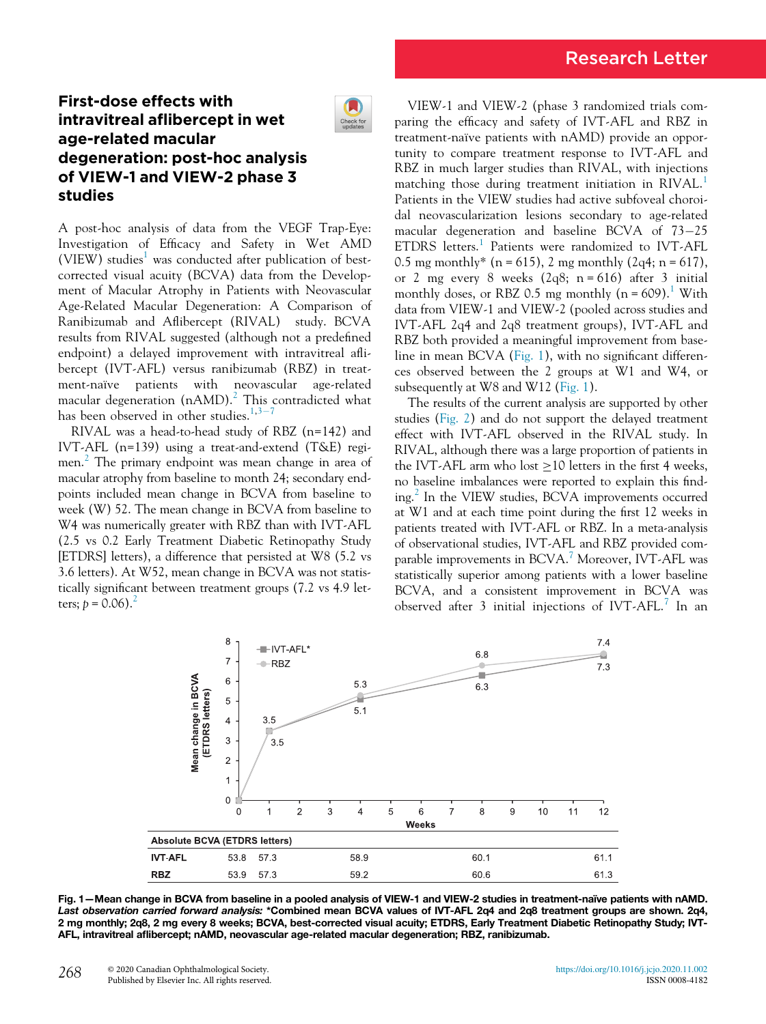## First-dose effects with intravitreal aflibercept in wet age-related macular degeneration: post-hoc analysis of VIEW-1 and VIEW-2 phase 3 studies

IJ Check for<br>updates

A post-hoc analysis of data from the VEGF Trap-Eye: Investigation of Efficacy and Safety in Wet AMD (VIEW) studies<sup>[1](#page-1-0)</sup> was conducted after publication of bestcorrected visual acuity (BCVA) data from the Development of Macular Atrophy in Patients with Neovascular Age-Related Macular Degeneration: A Comparison of Ranibizumab and Aflibercept (RIVAL) study. BCVA results from RIVAL suggested (although not a predefined endpoint) a delayed improvement with intravitreal aflibercept (IVT-AFL) versus ranibizumab (RBZ) in treatment-naïve patients with neovascular age-related macular degeneration ( $nAMD$ ).<sup>[2](#page-1-1)</sup> This contradicted what has been observed in other studies. $1,3-7$  $1,3-7$  $1,3-7$  $1,3-7$ 

RIVAL was a head-to-head study of RBZ (n=142) and IVT-AFL (n=139) using a treat-and-extend (T&E) regimen. $\alpha$  The primary endpoint was mean change in area of macular atrophy from baseline to month 24; secondary endpoints included mean change in BCVA from baseline to week (W) 52. The mean change in BCVA from baseline to W4 was numerically greater with RBZ than with IVT-AFL (2.5 vs 0.2 Early Treatment Diabetic Retinopathy Study [ETDRS] letters), a difference that persisted at W8 (5.2 vs 3.6 letters). At W52, mean change in BCVA was not statistically significant between treatment groups (7.2 vs 4.9 letters;  $p = 0.06$ ).<sup>2</sup>

VIEW-1 and VIEW-2 (phase 3 randomized trials comparing the efficacy and safety of IVT-AFL and RBZ in treatment-naïve patients with nAMD) provide an opportunity to compare treatment response to IVT-AFL and RBZ in much larger studies than RIVAL, with injections matching those during treatment initiation in RIVAL.<sup>[1](#page-1-0)</sup> Patients in the VIEW studies had active subfoveal choroidal neovascularization lesions secondary to age-related macular degeneration and baseline BCVA of  $73-25$ ETDRS letters.<sup>[1](#page-1-0)</sup> Patients were randomized to IVT-AFL 0.5 mg monthly\* (n = 615), 2 mg monthly (2q4; n = 617), or 2 mg every 8 weeks  $(2q8; n = 616)$  after 3 initial monthly doses, or RBZ 0.5 mg monthly  $(n = 609)$ .<sup>[1](#page-1-0)</sup> With data from VIEW-1 and VIEW-2 (pooled across studies and IVT-AFL 2q4 and 2q8 treatment groups), IVT-AFL and RBZ both provided a meaningful improvement from baseline in mean BCVA ([Fig. 1\)](#page-0-0), with no significant differences observed between the 2 groups at W1 and W4, or subsequently at W8 and W12 ([Fig. 1](#page-0-0)).

The results of the current analysis are supported by other studies ([Fig. 2](#page-1-3)) and do not support the delayed treatment effect with IVT-AFL observed in the RIVAL study. In RIVAL, although there was a large proportion of patients in the IVT-AFL arm who lost  $\geq$  10 letters in the first 4 weeks, no baseline imbalances were reported to explain this find-ing.<sup>[2](#page-1-1)</sup> In the VIEW studies, BCVA improvements occurred at W1 and at each time point during the first 12 weeks in patients treated with IVT-AFL or RBZ. In a meta-analysis of observational studies, IVT-AFL and RBZ provided com-parable improvements in BCVA.<sup>[7](#page-1-4)</sup> Moreover, IVT-AFL was statistically superior among patients with a lower baseline BCVA, and a consistent improvement in BCVA was observed after 3 initial injections of IVT-AFL.<sup>[7](#page-1-4)</sup> In an

<span id="page-0-0"></span>

Fig. 1—Mean change in BCVA from baseline in a pooled analysis of VIEW-1 and VIEW-2 studies in treatment-naïve patients with nAMD. Last observation carried forward analysis: \*Combined mean BCVA values of IVT-AFL 2q4 and 2q8 treatment groups are shown. 2q4, 2 mg monthly; 2q8, 2 mg every 8 weeks; BCVA, best-corrected visual acuity; ETDRS, Early Treatment Diabetic Retinopathy Study; IVT-AFL, intravitreal aflibercept; nAMD, neovascular age-related macular degeneration; RBZ, ranibizumab.